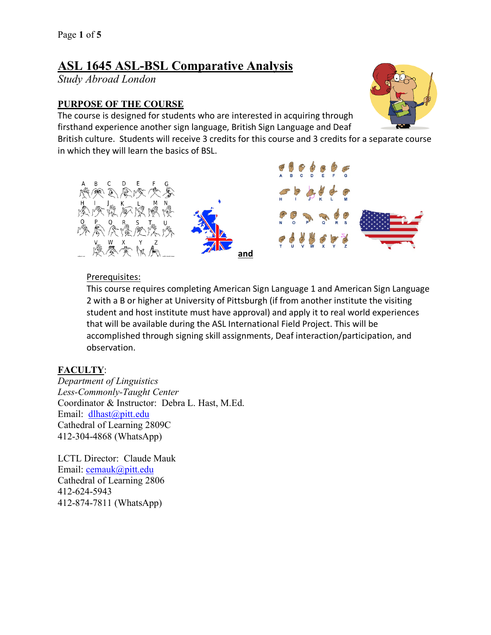# **ASL 1645 ASL-BSL Comparative Analysis**

*Study Abroad London*

# **PURPOSE OF THE COURSE**

The course is designed for students who are interested in acquiring through firsthand experience another sign language, British Sign Language and Deaf

British culture. Students will receive 3 credits for this course and 3 credits for a separate course in which they will learn the basics of BSL.



### Prerequisites:

This course requires completing American Sign Language 1 and American Sign Language 2 with a B or higher at University of Pittsburgh (if from another institute the visiting student and host institute must have approval) and apply it to real world experiences that will be available during the ASL International Field Project. This will be accomplished through signing skill assignments, Deaf interaction/participation, and observation.

# **FACULTY**:

*Department of Linguistics Less-Commonly-Taught Center* Coordinator & Instructor: Debra L. Hast, M.Ed. Email: dlhast@pitt.edu Cathedral of Learning 2809C 412-304-4868 (WhatsApp)

LCTL Director: Claude Mauk Email: cemauk@pitt.edu Cathedral of Learning 2806 412-624-5943 412-874-7811 (WhatsApp)

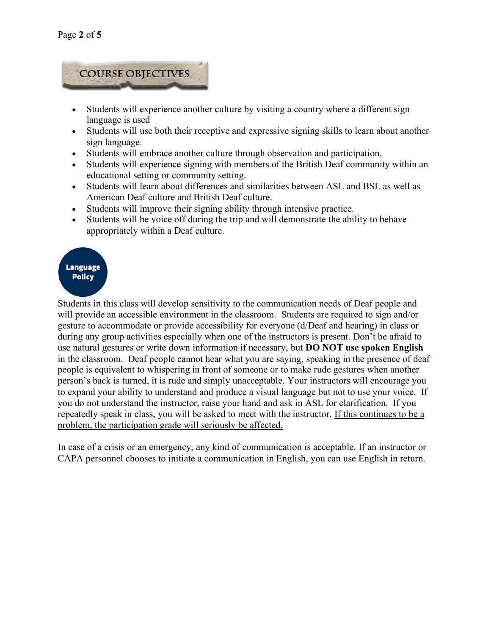

- Students will experience another culture by visiting a country where a different sign language is used
- Students will use both their receptive and expressive signing skills to learn about another sign language.
- Students will embrace another culture through observation and participation.
- Students will experience signing with members of the British Deaf community within an educational setting or community setting.
- Students will learn about differences and similarities between ASL and BSL as well as American Deaf culture and British Deaf culture.
- Students will improve their signing ability through intensive practice.
- Students will be voice off during the trip and will demonstrate the ability to behave appropriately within a Deaf culture.

#### **Language Policy**

Students in this class will develop sensitivity to the communication needs of Deaf people and will provide an accessible environment in the classroom. Students are required to sign and/or gesture to accommodate or provide accessibility for everyone (d/Deaf and hearing) in class or during any group activities especially when one of the instructors is present. Don't be afraid to use natural gestures or write down information if necessary, but **DO NOT use spoken English** in the classroom. Deaf people cannot hear what you are saying, speaking in the presence of deaf people is equivalent to whispering in front of someone or to make rude gestures when another person's back is turned, it is rude and simply unacceptable. Your instructors will encourage you to expand your ability to understand and produce a visual language but not to use your voice. If you do not understand the instructor, raise your hand and ask in ASL for clarification. If you repeatedly speak in class, you will be asked to meet with the instructor. If this continues to be a problem, the participation grade will seriously be affected.

In case of a crisis or an emergency, any kind of communication is acceptable. If an instructor or CAPA personnel chooses to initiate a communication in English, you can use English in return.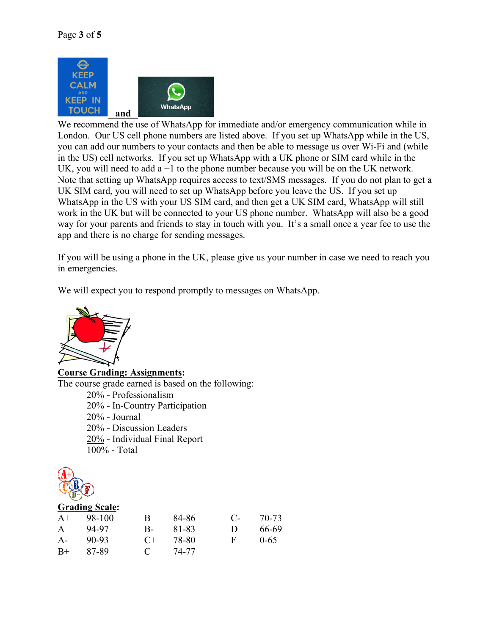

We recommend the use of WhatsApp for immediate and/or emergency communication while in London. Our US cell phone numbers are listed above. If you set up WhatsApp while in the US, you can add our numbers to your contacts and then be able to message us over Wi-Fi and (while in the US) cell networks. If you set up WhatsApp with a UK phone or SIM card while in the UK, you will need to add  $a + 1$  to the phone number because you will be on the UK network. Note that setting up WhatsApp requires access to text/SMS messages. If you do not plan to get a UK SIM card, you will need to set up WhatsApp before you leave the US. If you set up WhatsApp in the US with your US SIM card, and then get a UK SIM card, WhatsApp will still work in the UK but will be connected to your US phone number. WhatsApp will also be a good way for your parents and friends to stay in touch with you. It's a small once a year fee to use the app and there is no charge for sending messages.

If you will be using a phone in the UK, please give us your number in case we need to reach you in emergencies.

We will expect you to respond promptly to messages on WhatsApp.



**Course Grading: Assignments:**

The course grade earned is based on the following:

20% - Professionalism 20% - In-Country Participation 20% - Journal 20% - Discussion Leaders 20% - Individual Final Report 100% - Total



| <b>Grading Scale:</b> |        |               |       |              |          |
|-----------------------|--------|---------------|-------|--------------|----------|
| $A+$                  | 98-100 | B             | 84-86 | $\mathbf{C}$ | 70-73    |
| $\mathsf{A}$          | 94-97  | В-            | 81-83 | Ð            | 66-69    |
| $A -$                 | 90-93  | $C_{\pm}$     | 78-80 | F            | $0 - 65$ |
| $B+$                  | 87-89  | $\mathcal{L}$ | 74-77 |              |          |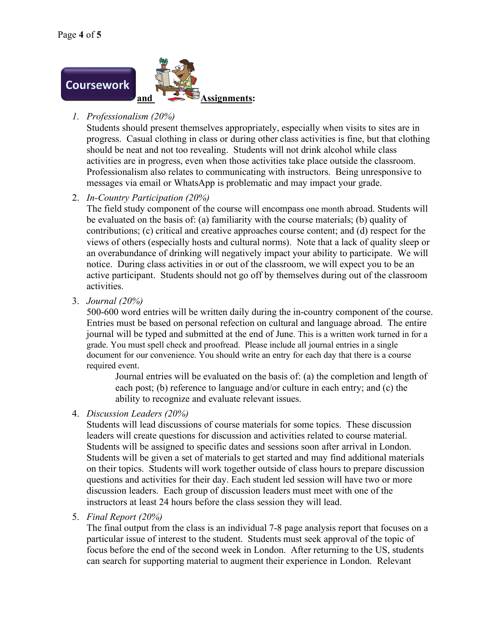

# *1. Professionalism (20%)*

Students should present themselves appropriately, especially when visits to sites are in progress. Casual clothing in class or during other class activities is fine, but that clothing should be neat and not too revealing. Students will not drink alcohol while class activities are in progress, even when those activities take place outside the classroom. Professionalism also relates to communicating with instructors. Being unresponsive to messages via email or WhatsApp is problematic and may impact your grade.

# 2. *In-Country Participation (20%)*

The field study component of the course will encompass one month abroad. Students will be evaluated on the basis of: (a) familiarity with the course materials; (b) quality of contributions; (c) critical and creative approaches course content; and (d) respect for the views of others (especially hosts and cultural norms). Note that a lack of quality sleep or an overabundance of drinking will negatively impact your ability to participate. We will notice. During class activities in or out of the classroom, we will expect you to be an active participant. Students should not go off by themselves during out of the classroom activities.

3. *Journal (20%)*

500-600 word entries will be written daily during the in-country component of the course. Entries must be based on personal refection on cultural and language abroad. The entire journal will be typed and submitted at the end of June. This is a written work turned in for a grade. You must spell check and proofread. Please include all journal entries in a single document for our convenience. You should write an entry for each day that there is a course required event.

Journal entries will be evaluated on the basis of: (a) the completion and length of each post; (b) reference to language and/or culture in each entry; and (c) the ability to recognize and evaluate relevant issues.

4. *Discussion Leaders (20%)*

Students will lead discussions of course materials for some topics. These discussion leaders will create questions for discussion and activities related to course material. Students will be assigned to specific dates and sessions soon after arrival in London. Students will be given a set of materials to get started and may find additional materials on their topics. Students will work together outside of class hours to prepare discussion questions and activities for their day. Each student led session will have two or more discussion leaders. Each group of discussion leaders must meet with one of the instructors at least 24 hours before the class session they will lead.

5. *Final Report (20%)*

The final output from the class is an individual 7-8 page analysis report that focuses on a particular issue of interest to the student. Students must seek approval of the topic of focus before the end of the second week in London. After returning to the US, students can search for supporting material to augment their experience in London. Relevant